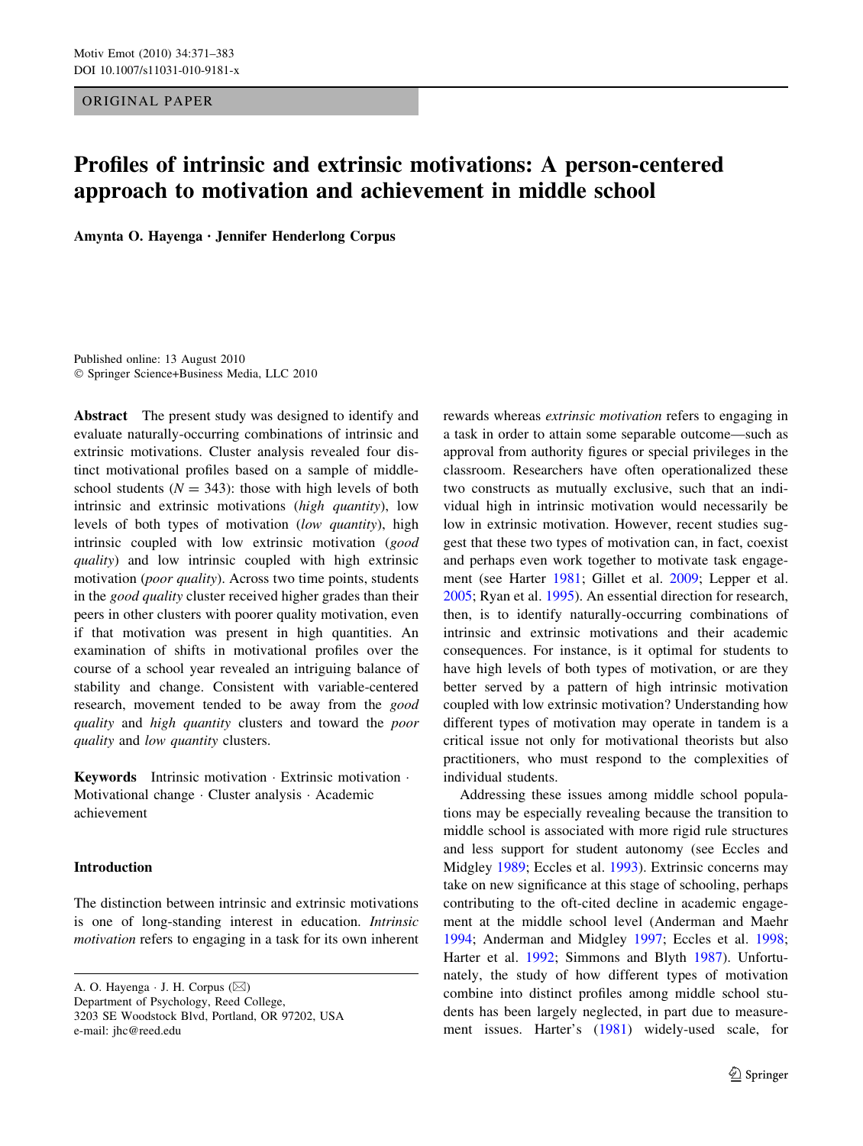ORIGINAL PAPER

# Profiles of intrinsic and extrinsic motivations: A person-centered approach to motivation and achievement in middle school

Amynta O. Hayenga • Jennifer Henderlong Corpus

Published online: 13 August 2010 - Springer Science+Business Media, LLC 2010

Abstract The present study was designed to identify and evaluate naturally-occurring combinations of intrinsic and extrinsic motivations. Cluster analysis revealed four distinct motivational profiles based on a sample of middleschool students ( $N = 343$ ): those with high levels of both intrinsic and extrinsic motivations (high quantity), low levels of both types of motivation (low quantity), high intrinsic coupled with low extrinsic motivation (good quality) and low intrinsic coupled with high extrinsic motivation (poor quality). Across two time points, students in the *good quality* cluster received higher grades than their peers in other clusters with poorer quality motivation, even if that motivation was present in high quantities. An examination of shifts in motivational profiles over the course of a school year revealed an intriguing balance of stability and change. Consistent with variable-centered research, movement tended to be away from the good quality and high quantity clusters and toward the poor quality and low quantity clusters.

Keywords Intrinsic motivation - Extrinsic motivation - Motivational change - Cluster analysis - Academic achievement

## Introduction

The distinction between intrinsic and extrinsic motivations is one of long-standing interest in education. Intrinsic motivation refers to engaging in a task for its own inherent

A. O. Hayenga  $\cdot$  J. H. Corpus ( $\boxtimes$ ) Department of Psychology, Reed College, 3203 SE Woodstock Blvd, Portland, OR 97202, USA e-mail: jhc@reed.edu

rewards whereas extrinsic motivation refers to engaging in a task in order to attain some separable outcome—such as approval from authority figures or special privileges in the classroom. Researchers have often operationalized these two constructs as mutually exclusive, such that an individual high in intrinsic motivation would necessarily be low in extrinsic motivation. However, recent studies suggest that these two types of motivation can, in fact, coexist and perhaps even work together to motivate task engagement (see Harter [1981](#page-11-0); Gillet et al. [2009](#page-11-0); Lepper et al. [2005](#page-11-0); Ryan et al. [1995\)](#page-12-0). An essential direction for research, then, is to identify naturally-occurring combinations of intrinsic and extrinsic motivations and their academic consequences. For instance, is it optimal for students to have high levels of both types of motivation, or are they better served by a pattern of high intrinsic motivation coupled with low extrinsic motivation? Understanding how different types of motivation may operate in tandem is a critical issue not only for motivational theorists but also practitioners, who must respond to the complexities of individual students.

Addressing these issues among middle school populations may be especially revealing because the transition to middle school is associated with more rigid rule structures and less support for student autonomy (see Eccles and Midgley [1989;](#page-11-0) Eccles et al. [1993\)](#page-11-0). Extrinsic concerns may take on new significance at this stage of schooling, perhaps contributing to the oft-cited decline in academic engagement at the middle school level (Anderman and Maehr [1994](#page-10-0); Anderman and Midgley [1997](#page-10-0); Eccles et al. [1998](#page-11-0); Harter et al. [1992;](#page-11-0) Simmons and Blyth [1987\)](#page-12-0). Unfortunately, the study of how different types of motivation combine into distinct profiles among middle school students has been largely neglected, in part due to measurement issues. Harter's [\(1981](#page-11-0)) widely-used scale, for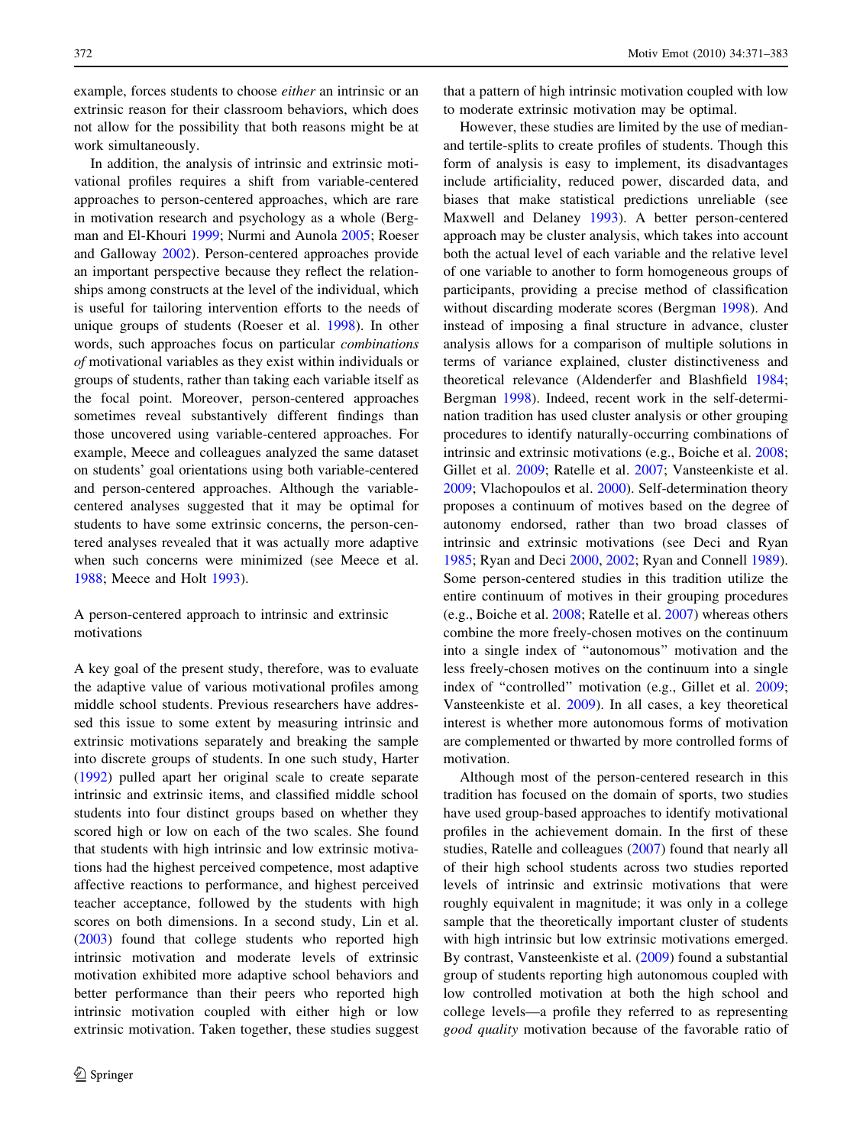example, forces students to choose either an intrinsic or an extrinsic reason for their classroom behaviors, which does not allow for the possibility that both reasons might be at work simultaneously.

In addition, the analysis of intrinsic and extrinsic motivational profiles requires a shift from variable-centered approaches to person-centered approaches, which are rare in motivation research and psychology as a whole (Bergman and El-Khouri [1999;](#page-10-0) Nurmi and Aunola [2005;](#page-11-0) Roeser and Galloway [2002\)](#page-12-0). Person-centered approaches provide an important perspective because they reflect the relationships among constructs at the level of the individual, which is useful for tailoring intervention efforts to the needs of unique groups of students (Roeser et al. [1998\)](#page-12-0). In other words, such approaches focus on particular combinations of motivational variables as they exist within individuals or groups of students, rather than taking each variable itself as the focal point. Moreover, person-centered approaches sometimes reveal substantively different findings than those uncovered using variable-centered approaches. For example, Meece and colleagues analyzed the same dataset on students' goal orientations using both variable-centered and person-centered approaches. Although the variablecentered analyses suggested that it may be optimal for students to have some extrinsic concerns, the person-centered analyses revealed that it was actually more adaptive when such concerns were minimized (see Meece et al. [1988;](#page-11-0) Meece and Holt [1993\)](#page-11-0).

A person-centered approach to intrinsic and extrinsic motivations

A key goal of the present study, therefore, was to evaluate the adaptive value of various motivational profiles among middle school students. Previous researchers have addressed this issue to some extent by measuring intrinsic and extrinsic motivations separately and breaking the sample into discrete groups of students. In one such study, Harter [\(1992](#page-11-0)) pulled apart her original scale to create separate intrinsic and extrinsic items, and classified middle school students into four distinct groups based on whether they scored high or low on each of the two scales. She found that students with high intrinsic and low extrinsic motivations had the highest perceived competence, most adaptive affective reactions to performance, and highest perceived teacher acceptance, followed by the students with high scores on both dimensions. In a second study, Lin et al. [\(2003](#page-11-0)) found that college students who reported high intrinsic motivation and moderate levels of extrinsic motivation exhibited more adaptive school behaviors and better performance than their peers who reported high intrinsic motivation coupled with either high or low extrinsic motivation. Taken together, these studies suggest

that a pattern of high intrinsic motivation coupled with low to moderate extrinsic motivation may be optimal.

However, these studies are limited by the use of medianand tertile-splits to create profiles of students. Though this form of analysis is easy to implement, its disadvantages include artificiality, reduced power, discarded data, and biases that make statistical predictions unreliable (see Maxwell and Delaney [1993\)](#page-11-0). A better person-centered approach may be cluster analysis, which takes into account both the actual level of each variable and the relative level of one variable to another to form homogeneous groups of participants, providing a precise method of classification without discarding moderate scores (Bergman [1998\)](#page-10-0). And instead of imposing a final structure in advance, cluster analysis allows for a comparison of multiple solutions in terms of variance explained, cluster distinctiveness and theoretical relevance (Aldenderfer and Blashfield [1984](#page-10-0); Bergman [1998\)](#page-10-0). Indeed, recent work in the self-determination tradition has used cluster analysis or other grouping procedures to identify naturally-occurring combinations of intrinsic and extrinsic motivations (e.g., Boiche et al. [2008](#page-10-0); Gillet et al. [2009](#page-11-0); Ratelle et al. [2007](#page-11-0); Vansteenkiste et al. [2009](#page-12-0); Vlachopoulos et al. [2000](#page-12-0)). Self-determination theory proposes a continuum of motives based on the degree of autonomy endorsed, rather than two broad classes of intrinsic and extrinsic motivations (see Deci and Ryan [1985](#page-11-0); Ryan and Deci [2000](#page-12-0), [2002](#page-12-0); Ryan and Connell [1989](#page-12-0)). Some person-centered studies in this tradition utilize the entire continuum of motives in their grouping procedures (e.g., Boiche et al. [2008](#page-10-0); Ratelle et al. [2007\)](#page-11-0) whereas others combine the more freely-chosen motives on the continuum into a single index of ''autonomous'' motivation and the less freely-chosen motives on the continuum into a single index of "controlled" motivation (e.g., Gillet et al. [2009](#page-11-0); Vansteenkiste et al. [2009](#page-12-0)). In all cases, a key theoretical interest is whether more autonomous forms of motivation are complemented or thwarted by more controlled forms of motivation.

Although most of the person-centered research in this tradition has focused on the domain of sports, two studies have used group-based approaches to identify motivational profiles in the achievement domain. In the first of these studies, Ratelle and colleagues [\(2007](#page-11-0)) found that nearly all of their high school students across two studies reported levels of intrinsic and extrinsic motivations that were roughly equivalent in magnitude; it was only in a college sample that the theoretically important cluster of students with high intrinsic but low extrinsic motivations emerged. By contrast, Vansteenkiste et al. [\(2009](#page-12-0)) found a substantial group of students reporting high autonomous coupled with low controlled motivation at both the high school and college levels—a profile they referred to as representing good quality motivation because of the favorable ratio of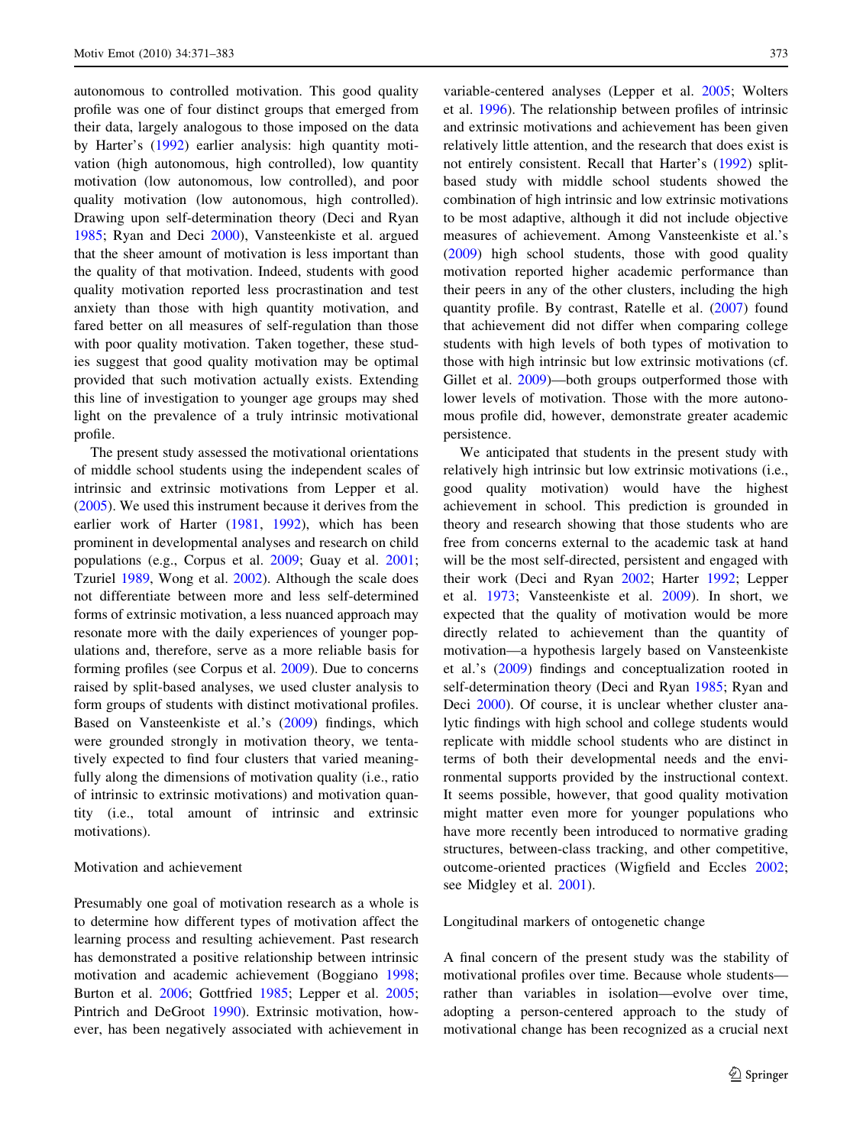autonomous to controlled motivation. This good quality profile was one of four distinct groups that emerged from their data, largely analogous to those imposed on the data by Harter's [\(1992](#page-11-0)) earlier analysis: high quantity motivation (high autonomous, high controlled), low quantity motivation (low autonomous, low controlled), and poor quality motivation (low autonomous, high controlled). Drawing upon self-determination theory (Deci and Ryan [1985;](#page-11-0) Ryan and Deci [2000\)](#page-12-0), Vansteenkiste et al. argued that the sheer amount of motivation is less important than the quality of that motivation. Indeed, students with good quality motivation reported less procrastination and test anxiety than those with high quantity motivation, and fared better on all measures of self-regulation than those with poor quality motivation. Taken together, these studies suggest that good quality motivation may be optimal provided that such motivation actually exists. Extending this line of investigation to younger age groups may shed light on the prevalence of a truly intrinsic motivational profile.

The present study assessed the motivational orientations of middle school students using the independent scales of intrinsic and extrinsic motivations from Lepper et al. [\(2005](#page-11-0)). We used this instrument because it derives from the earlier work of Harter [\(1981](#page-11-0), [1992\)](#page-11-0), which has been prominent in developmental analyses and research on child populations (e.g., Corpus et al. [2009;](#page-11-0) Guay et al. [2001](#page-11-0); Tzuriel [1989](#page-12-0), Wong et al. [2002](#page-12-0)). Although the scale does not differentiate between more and less self-determined forms of extrinsic motivation, a less nuanced approach may resonate more with the daily experiences of younger populations and, therefore, serve as a more reliable basis for forming profiles (see Corpus et al. [2009\)](#page-11-0). Due to concerns raised by split-based analyses, we used cluster analysis to form groups of students with distinct motivational profiles. Based on Vansteenkiste et al.'s [\(2009](#page-12-0)) findings, which were grounded strongly in motivation theory, we tentatively expected to find four clusters that varied meaningfully along the dimensions of motivation quality (i.e., ratio of intrinsic to extrinsic motivations) and motivation quantity (i.e., total amount of intrinsic and extrinsic motivations).

## Motivation and achievement

Presumably one goal of motivation research as a whole is to determine how different types of motivation affect the learning process and resulting achievement. Past research has demonstrated a positive relationship between intrinsic motivation and academic achievement (Boggiano [1998](#page-10-0); Burton et al. [2006](#page-10-0); Gottfried [1985](#page-11-0); Lepper et al. [2005](#page-11-0); Pintrich and DeGroot [1990](#page-11-0)). Extrinsic motivation, however, has been negatively associated with achievement in

variable-centered analyses (Lepper et al. [2005;](#page-11-0) Wolters et al. [1996](#page-12-0)). The relationship between profiles of intrinsic and extrinsic motivations and achievement has been given relatively little attention, and the research that does exist is not entirely consistent. Recall that Harter's ([1992\)](#page-11-0) splitbased study with middle school students showed the combination of high intrinsic and low extrinsic motivations to be most adaptive, although it did not include objective measures of achievement. Among Vansteenkiste et al.'s [\(2009](#page-12-0)) high school students, those with good quality motivation reported higher academic performance than their peers in any of the other clusters, including the high quantity profile. By contrast, Ratelle et al. [\(2007](#page-11-0)) found that achievement did not differ when comparing college students with high levels of both types of motivation to those with high intrinsic but low extrinsic motivations (cf. Gillet et al. [2009](#page-11-0))—both groups outperformed those with lower levels of motivation. Those with the more autonomous profile did, however, demonstrate greater academic persistence.

We anticipated that students in the present study with relatively high intrinsic but low extrinsic motivations (i.e., good quality motivation) would have the highest achievement in school. This prediction is grounded in theory and research showing that those students who are free from concerns external to the academic task at hand will be the most self-directed, persistent and engaged with their work (Deci and Ryan [2002](#page-11-0); Harter [1992;](#page-11-0) Lepper et al. [1973;](#page-11-0) Vansteenkiste et al. [2009](#page-12-0)). In short, we expected that the quality of motivation would be more directly related to achievement than the quantity of motivation—a hypothesis largely based on Vansteenkiste et al.'s [\(2009](#page-12-0)) findings and conceptualization rooted in self-determination theory (Deci and Ryan [1985](#page-11-0); Ryan and Deci  $2000$ . Of course, it is unclear whether cluster analytic findings with high school and college students would replicate with middle school students who are distinct in terms of both their developmental needs and the environmental supports provided by the instructional context. It seems possible, however, that good quality motivation might matter even more for younger populations who have more recently been introduced to normative grading structures, between-class tracking, and other competitive, outcome-oriented practices (Wigfield and Eccles [2002](#page-12-0); see Midgley et al. [2001](#page-11-0)).

#### Longitudinal markers of ontogenetic change

A final concern of the present study was the stability of motivational profiles over time. Because whole students rather than variables in isolation—evolve over time, adopting a person-centered approach to the study of motivational change has been recognized as a crucial next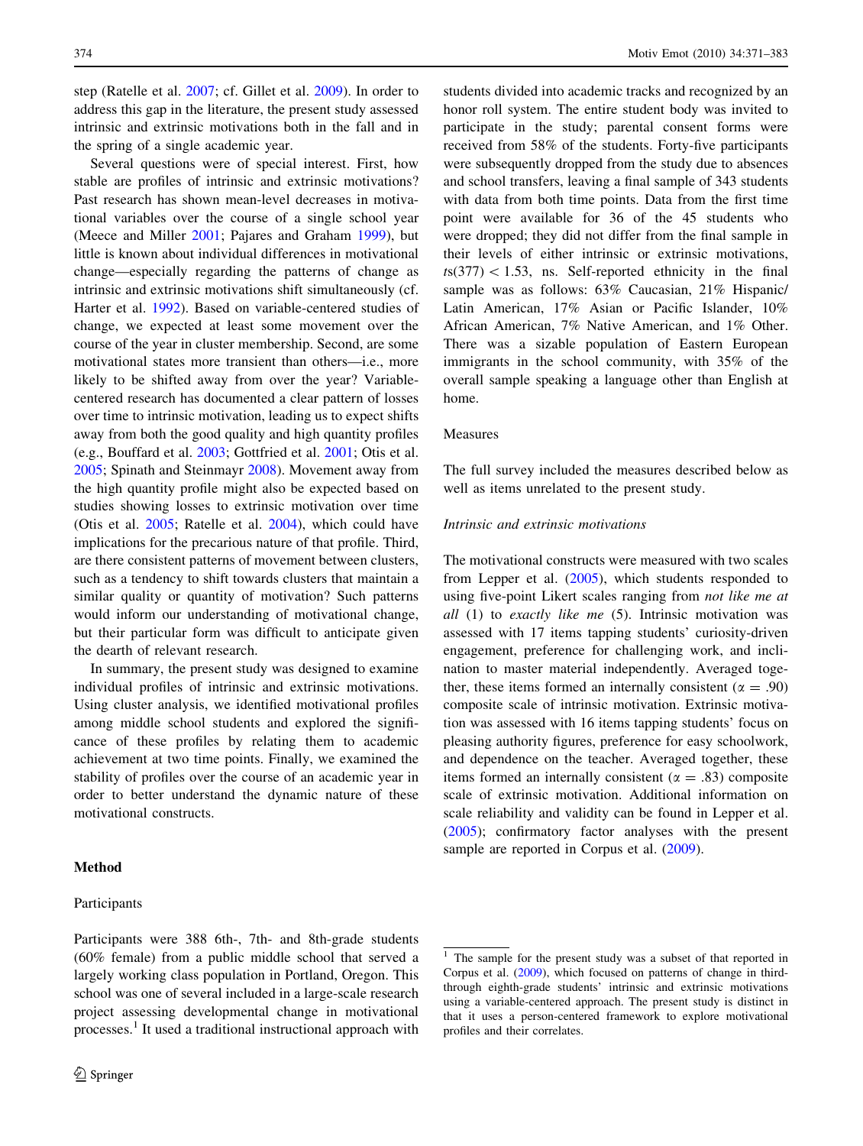step (Ratelle et al. [2007](#page-11-0); cf. Gillet et al. [2009\)](#page-11-0). In order to address this gap in the literature, the present study assessed intrinsic and extrinsic motivations both in the fall and in the spring of a single academic year.

Several questions were of special interest. First, how stable are profiles of intrinsic and extrinsic motivations? Past research has shown mean-level decreases in motivational variables over the course of a single school year (Meece and Miller [2001](#page-11-0); Pajares and Graham [1999\)](#page-11-0), but little is known about individual differences in motivational change—especially regarding the patterns of change as intrinsic and extrinsic motivations shift simultaneously (cf. Harter et al. [1992\)](#page-11-0). Based on variable-centered studies of change, we expected at least some movement over the course of the year in cluster membership. Second, are some motivational states more transient than others—i.e., more likely to be shifted away from over the year? Variablecentered research has documented a clear pattern of losses over time to intrinsic motivation, leading us to expect shifts away from both the good quality and high quantity profiles (e.g., Bouffard et al. [2003;](#page-10-0) Gottfried et al. [2001](#page-11-0); Otis et al. [2005;](#page-11-0) Spinath and Steinmayr [2008](#page-12-0)). Movement away from the high quantity profile might also be expected based on studies showing losses to extrinsic motivation over time (Otis et al. [2005](#page-11-0); Ratelle et al. [2004](#page-11-0)), which could have implications for the precarious nature of that profile. Third, are there consistent patterns of movement between clusters, such as a tendency to shift towards clusters that maintain a similar quality or quantity of motivation? Such patterns would inform our understanding of motivational change, but their particular form was difficult to anticipate given the dearth of relevant research.

In summary, the present study was designed to examine individual profiles of intrinsic and extrinsic motivations. Using cluster analysis, we identified motivational profiles among middle school students and explored the significance of these profiles by relating them to academic achievement at two time points. Finally, we examined the stability of profiles over the course of an academic year in order to better understand the dynamic nature of these motivational constructs.

## Method

## Participants

Participants were 388 6th-, 7th- and 8th-grade students (60% female) from a public middle school that served a largely working class population in Portland, Oregon. This school was one of several included in a large-scale research project assessing developmental change in motivational processes.<sup>1</sup> It used a traditional instructional approach with students divided into academic tracks and recognized by an honor roll system. The entire student body was invited to participate in the study; parental consent forms were received from 58% of the students. Forty-five participants were subsequently dropped from the study due to absences and school transfers, leaving a final sample of 343 students with data from both time points. Data from the first time point were available for 36 of the 45 students who were dropped; they did not differ from the final sample in their levels of either intrinsic or extrinsic motivations,  $ts(377) < 1.53$ , ns. Self-reported ethnicity in the final sample was as follows: 63% Caucasian, 21% Hispanic/ Latin American, 17% Asian or Pacific Islander, 10% African American, 7% Native American, and 1% Other. There was a sizable population of Eastern European immigrants in the school community, with 35% of the overall sample speaking a language other than English at home.

#### Measures

The full survey included the measures described below as well as items unrelated to the present study.

## Intrinsic and extrinsic motivations

The motivational constructs were measured with two scales from Lepper et al. [\(2005](#page-11-0)), which students responded to using five-point Likert scales ranging from not like me at all  $(1)$  to exactly like me  $(5)$ . Intrinsic motivation was assessed with 17 items tapping students' curiosity-driven engagement, preference for challenging work, and inclination to master material independently. Averaged together, these items formed an internally consistent ( $\alpha = .90$ ) composite scale of intrinsic motivation. Extrinsic motivation was assessed with 16 items tapping students' focus on pleasing authority figures, preference for easy schoolwork, and dependence on the teacher. Averaged together, these items formed an internally consistent ( $\alpha = .83$ ) composite scale of extrinsic motivation. Additional information on scale reliability and validity can be found in Lepper et al. [\(2005](#page-11-0)); confirmatory factor analyses with the present sample are reported in Corpus et al.  $(2009)$  $(2009)$ .

<sup>&</sup>lt;sup>1</sup> The sample for the present study was a subset of that reported in Corpus et al. ([2009](#page-11-0)), which focused on patterns of change in thirdthrough eighth-grade students' intrinsic and extrinsic motivations using a variable-centered approach. The present study is distinct in that it uses a person-centered framework to explore motivational profiles and their correlates.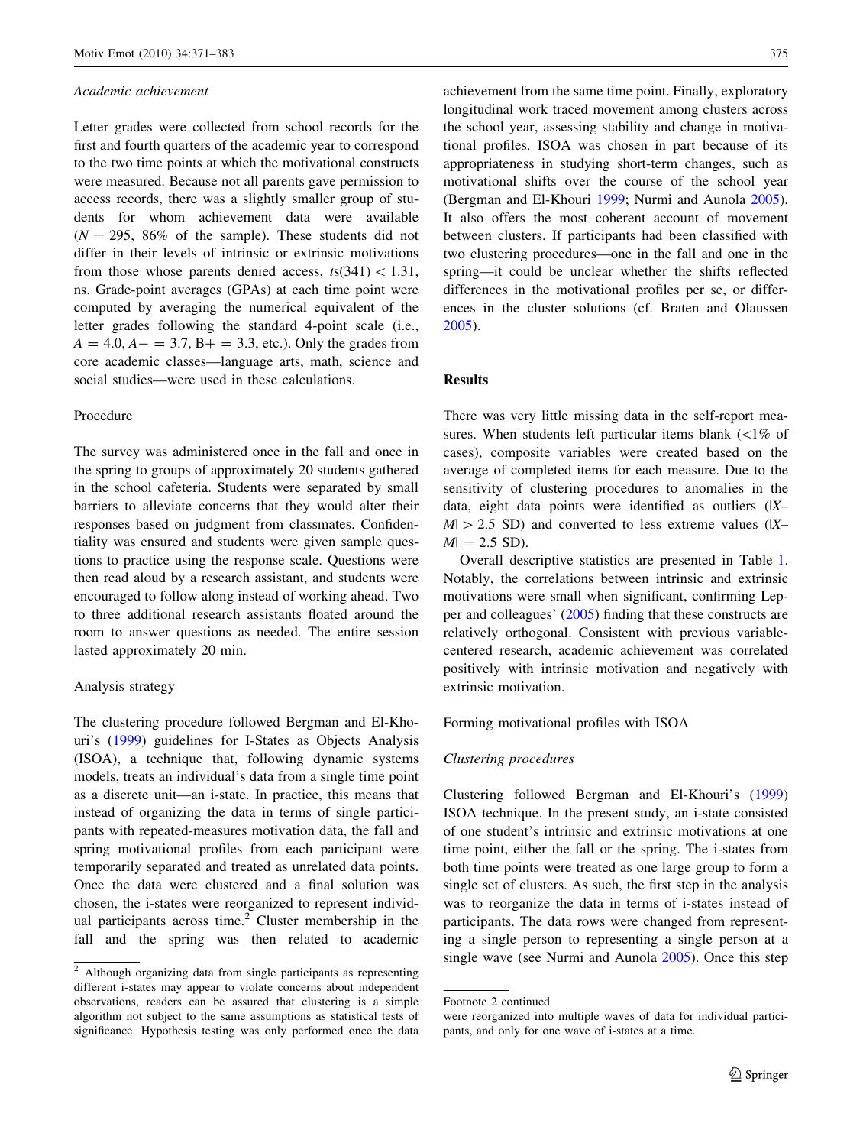#### Academic achievement

Letter grades were collected from school records for the first and fourth quarters of the academic year to correspond to the two time points at which the motivational constructs were measured. Because not all parents gave permission to access records, there was a slightly smaller group of students for whom achievement data were available  $(N = 295, 86\%$  of the sample). These students did not differ in their levels of intrinsic or extrinsic motivations from those whose parents denied access,  $ts(341) < 1.31$ , ns. Grade-point averages (GPAs) at each time point were computed by averaging the numerical equivalent of the letter grades following the standard 4-point scale (i.e.,  $A = 4.0, A - = 3.7, B + = 3.3,$  etc.). Only the grades from core academic classes—language arts, math, science and social studies—were used in these calculations.

#### Procedure

The survey was administered once in the fall and once in the spring to groups of approximately 20 students gathered in the school cafeteria. Students were separated by small barriers to alleviate concerns that they would alter their responses based on judgment from classmates. Confidentiality was ensured and students were given sample questions to practice using the response scale. Questions were then read aloud by a research assistant, and students were encouraged to follow along instead of working ahead. Two to three additional research assistants floated around the room to answer questions as needed. The entire session lasted approximately 20 min.

## Analysis strategy

The clustering procedure followed Bergman and El-Khouri's ([1999\)](#page-10-0) guidelines for I-States as Objects Analysis (ISOA), a technique that, following dynamic systems models, treats an individual's data from a single time point as a discrete unit—an i-state. In practice, this means that instead of organizing the data in terms of single participants with repeated-measures motivation data, the fall and spring motivational profiles from each participant were temporarily separated and treated as unrelated data points. Once the data were clustered and a final solution was chosen, the i-states were reorganized to represent individual participants across time.<sup>2</sup> Cluster membership in the fall and the spring was then related to academic

achievement from the same time point. Finally, exploratory longitudinal work traced movement among clusters across the school year, assessing stability and change in motivational profiles. ISOA was chosen in part because of its appropriateness in studying short-term changes, such as motivational shifts over the course of the school year (Bergman and El-Khouri [1999;](#page-10-0) Nurmi and Aunola [2005](#page-11-0)). It also offers the most coherent account of movement between clusters. If participants had been classified with two clustering procedures—one in the fall and one in the spring—it could be unclear whether the shifts reflected differences in the motivational profiles per se, or differences in the cluster solutions (cf. Braten and Olaussen [2005](#page-10-0)).

## Results

There was very little missing data in the self-report measures. When students left particular items blank  $\langle \langle 1\% \rangle$  of cases), composite variables were created based on the average of completed items for each measure. Due to the sensitivity of clustering procedures to anomalies in the data, eight data points were identified as outliers (IX- $|M| > 2.5$  SD) and converted to less extreme values ( $|X-\rangle$  $M = 2.5$  SD).

Overall descriptive statistics are presented in Table [1.](#page-5-0) Notably, the correlations between intrinsic and extrinsic motivations were small when significant, confirming Lepper and colleagues' ([2005\)](#page-11-0) finding that these constructs are relatively orthogonal. Consistent with previous variablecentered research, academic achievement was correlated positively with intrinsic motivation and negatively with extrinsic motivation.

Forming motivational profiles with ISOA

#### Clustering procedures

Clustering followed Bergman and El-Khouri's ([1999\)](#page-10-0) ISOA technique. In the present study, an i-state consisted of one student's intrinsic and extrinsic motivations at one time point, either the fall or the spring. The i-states from both time points were treated as one large group to form a single set of clusters. As such, the first step in the analysis was to reorganize the data in terms of i-states instead of participants. The data rows were changed from representing a single person to representing a single person at a  $\frac{1}{2}$  Although organizing data from single participants as representing single wave (see Nurmi and Aunola [2005\)](#page-11-0). Once this step

different i-states may appear to violate concerns about independent observations, readers can be assured that clustering is a simple algorithm not subject to the same assumptions as statistical tests of significance. Hypothesis testing was only performed once the data

Footnote 2 continued

were reorganized into multiple waves of data for individual participants, and only for one wave of i-states at a time.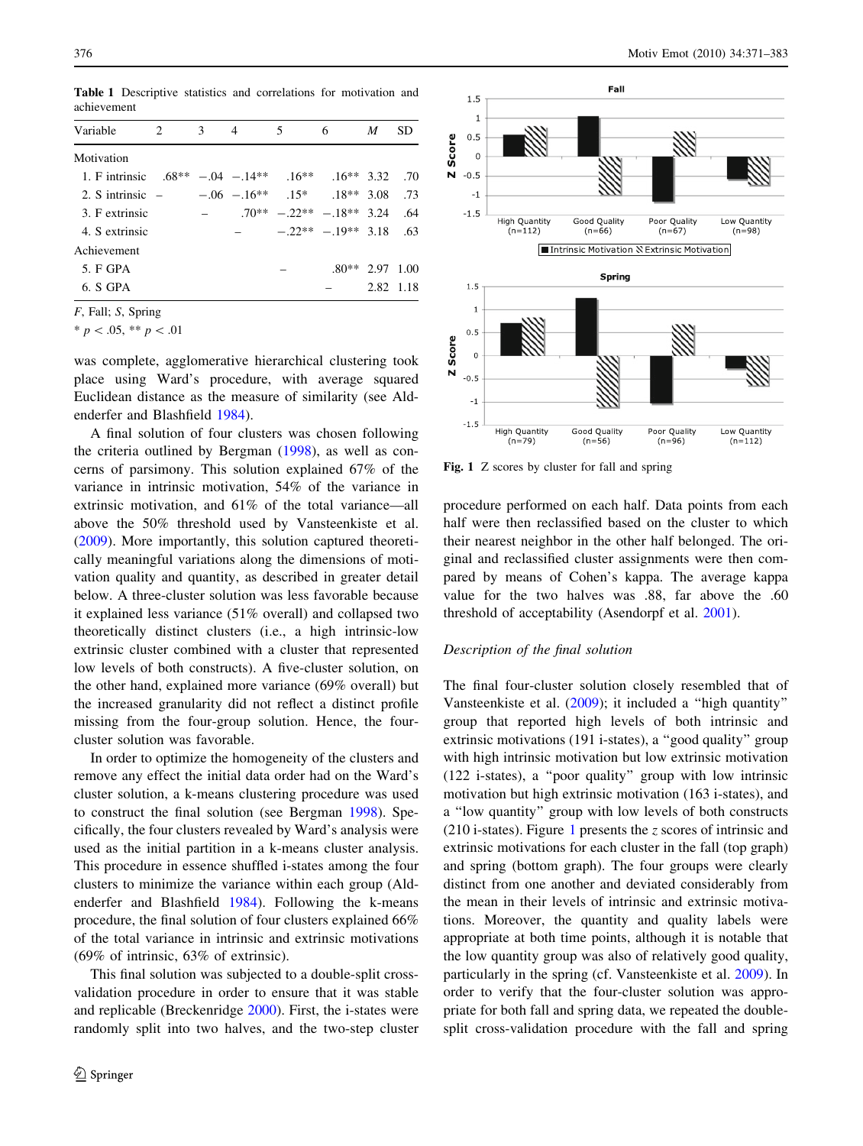<span id="page-5-0"></span>Table 1 Descriptive statistics and correlations for motivation and achievement

| Variable $2 \t 3 \t 4 \t 5$                                     |                            |                                             | 6                         | M         | SD |
|-----------------------------------------------------------------|----------------------------|---------------------------------------------|---------------------------|-----------|----|
| Motivation                                                      |                            |                                             |                           |           |    |
| 1. F intrinsic $.68^{**}$ -.04 -.14** $.16^{**}$ .16** 3.32 .70 |                            |                                             |                           |           |    |
| 2. S intrinsic $ -0.06$ $-16**$ $15*$ $18**$ 3.08 .73           |                            |                                             |                           |           |    |
| 3. F extrinsic                                                  | and the state of the state | $.70^{**}$ $-.22^{**}$ $-.18^{**}$ 3.24 .64 |                           |           |    |
| 4. S extrinsic                                                  |                            |                                             | $-.22** - .19** 3.18 .63$ |           |    |
| Achievement                                                     |                            |                                             |                           |           |    |
| 5. F GPA                                                        |                            |                                             | $.80**$ 2.97 1.00         |           |    |
| 6. S GPA                                                        |                            |                                             |                           | 2.82 1.18 |    |

F, Fall; S, Spring

 $* p < .05, ** p < .01$ 

was complete, agglomerative hierarchical clustering took place using Ward's procedure, with average squared Euclidean distance as the measure of similarity (see Aldenderfer and Blashfield [1984](#page-10-0)).

A final solution of four clusters was chosen following the criteria outlined by Bergman [\(1998](#page-10-0)), as well as concerns of parsimony. This solution explained 67% of the variance in intrinsic motivation, 54% of the variance in extrinsic motivation, and 61% of the total variance—all above the 50% threshold used by Vansteenkiste et al. [\(2009](#page-12-0)). More importantly, this solution captured theoretically meaningful variations along the dimensions of motivation quality and quantity, as described in greater detail below. A three-cluster solution was less favorable because it explained less variance (51% overall) and collapsed two theoretically distinct clusters (i.e., a high intrinsic-low extrinsic cluster combined with a cluster that represented low levels of both constructs). A five-cluster solution, on the other hand, explained more variance (69% overall) but the increased granularity did not reflect a distinct profile missing from the four-group solution. Hence, the fourcluster solution was favorable.

In order to optimize the homogeneity of the clusters and remove any effect the initial data order had on the Ward's cluster solution, a k-means clustering procedure was used to construct the final solution (see Bergman [1998\)](#page-10-0). Specifically, the four clusters revealed by Ward's analysis were used as the initial partition in a k-means cluster analysis. This procedure in essence shuffled i-states among the four clusters to minimize the variance within each group (Aldenderfer and Blashfield [1984\)](#page-10-0). Following the k-means procedure, the final solution of four clusters explained 66% of the total variance in intrinsic and extrinsic motivations (69% of intrinsic, 63% of extrinsic).

This final solution was subjected to a double-split crossvalidation procedure in order to ensure that it was stable and replicable (Breckenridge [2000\)](#page-10-0). First, the i-states were randomly split into two halves, and the two-step cluster



Fig. 1 Z scores by cluster for fall and spring

procedure performed on each half. Data points from each half were then reclassified based on the cluster to which their nearest neighbor in the other half belonged. The original and reclassified cluster assignments were then compared by means of Cohen's kappa. The average kappa value for the two halves was .88, far above the .60 threshold of acceptability (Asendorpf et al. [2001](#page-10-0)).

## Description of the final solution

The final four-cluster solution closely resembled that of Vansteenkiste et al. ([2009\)](#page-12-0); it included a ''high quantity'' group that reported high levels of both intrinsic and extrinsic motivations (191 i-states), a "good quality" group with high intrinsic motivation but low extrinsic motivation (122 i-states), a ''poor quality'' group with low intrinsic motivation but high extrinsic motivation (163 i-states), and a ''low quantity'' group with low levels of both constructs (210 i-states). Figure 1 presents the  $\zeta$  scores of intrinsic and extrinsic motivations for each cluster in the fall (top graph) and spring (bottom graph). The four groups were clearly distinct from one another and deviated considerably from the mean in their levels of intrinsic and extrinsic motivations. Moreover, the quantity and quality labels were appropriate at both time points, although it is notable that the low quantity group was also of relatively good quality, particularly in the spring (cf. Vansteenkiste et al. [2009](#page-12-0)). In order to verify that the four-cluster solution was appropriate for both fall and spring data, we repeated the doublesplit cross-validation procedure with the fall and spring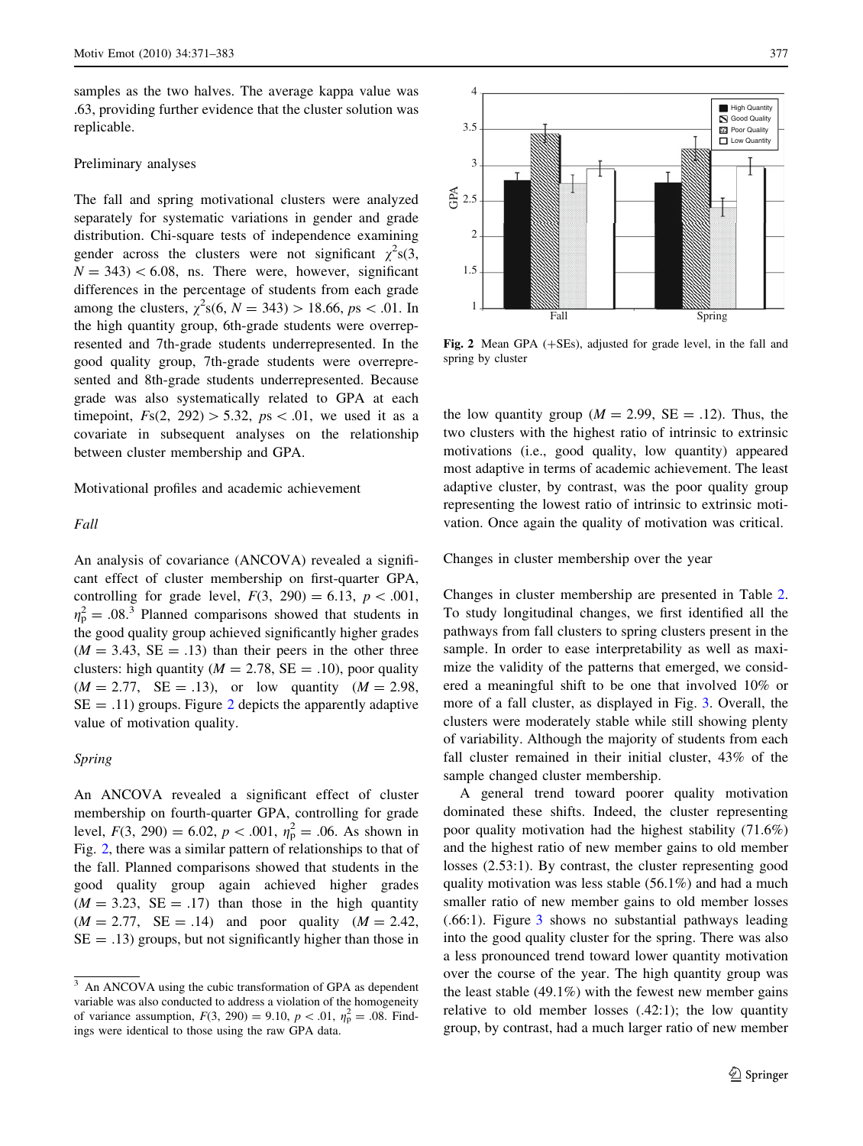samples as the two halves. The average kappa value was .63, providing further evidence that the cluster solution was replicable.

## Preliminary analyses

The fall and spring motivational clusters were analyzed separately for systematic variations in gender and grade distribution. Chi-square tests of independence examining gender across the clusters were not significant  $\chi^2$ s(3,  $N = 343$ )  $< 6.08$ , ns. There were, however, significant differences in the percentage of students from each grade among the clusters,  $\chi^2 s(6, N = 343) > 18.66$ ,  $ps < .01$ . In the high quantity group, 6th-grade students were overrepresented and 7th-grade students underrepresented. In the good quality group, 7th-grade students were overrepresented and 8th-grade students underrepresented. Because grade was also systematically related to GPA at each timepoint,  $Fs(2, 292) > 5.32$ ,  $ps < .01$ , we used it as a covariate in subsequent analyses on the relationship between cluster membership and GPA.

Motivational profiles and academic achievement

## Fall

An analysis of covariance (ANCOVA) revealed a significant effect of cluster membership on first-quarter GPA, controlling for grade level,  $F(3, 290) = 6.13$ ,  $p < .001$ ,  $\eta_{\rm p}^2 = .08$ .<sup>3</sup> Planned comparisons showed that students in the good quality group achieved significantly higher grades  $(M = 3.43, SE = .13)$  than their peers in the other three clusters: high quantity ( $M = 2.78$ , SE = .10), poor quality  $(M = 2.77, \text{ SE} = .13), \text{ or low quantity } (M = 2.98,$  $SE = .11$ ) groups. Figure 2 depicts the apparently adaptive value of motivation quality.

## Spring

An ANCOVA revealed a significant effect of cluster membership on fourth-quarter GPA, controlling for grade level,  $F(3, 290) = 6.02, p < .001, \eta_p^2 = .06$ . As shown in Fig. 2, there was a similar pattern of relationships to that of the fall. Planned comparisons showed that students in the good quality group again achieved higher grades  $(M = 3.23, SE = .17)$  than those in the high quantity  $(M = 2.77, \text{ SE} = .14)$  and poor quality  $(M = 2.42,$  $SE = .13$ ) groups, but not significantly higher than those in



Fig. 2 Mean GPA  $(+SEs)$ , adjusted for grade level, in the fall and spring by cluster

the low quantity group  $(M = 2.99, \text{ SE} = .12)$ . Thus, the two clusters with the highest ratio of intrinsic to extrinsic motivations (i.e., good quality, low quantity) appeared most adaptive in terms of academic achievement. The least adaptive cluster, by contrast, was the poor quality group representing the lowest ratio of intrinsic to extrinsic motivation. Once again the quality of motivation was critical.

Changes in cluster membership over the year

Changes in cluster membership are presented in Table [2.](#page-7-0) To study longitudinal changes, we first identified all the pathways from fall clusters to spring clusters present in the sample. In order to ease interpretability as well as maximize the validity of the patterns that emerged, we considered a meaningful shift to be one that involved 10% or more of a fall cluster, as displayed in Fig. [3.](#page-7-0) Overall, the clusters were moderately stable while still showing plenty of variability. Although the majority of students from each fall cluster remained in their initial cluster, 43% of the sample changed cluster membership.

A general trend toward poorer quality motivation dominated these shifts. Indeed, the cluster representing poor quality motivation had the highest stability (71.6%) and the highest ratio of new member gains to old member losses (2.53:1). By contrast, the cluster representing good quality motivation was less stable (56.1%) and had a much smaller ratio of new member gains to old member losses (.66:1). Figure [3](#page-7-0) shows no substantial pathways leading into the good quality cluster for the spring. There was also a less pronounced trend toward lower quantity motivation over the course of the year. The high quantity group was the least stable  $(49.1\%)$  with the fewest new member gains relative to old member losses (.42:1); the low quantity group, by contrast, had a much larger ratio of new member

 $\frac{3}{3}$  An ANCOVA using the cubic transformation of GPA as dependent variable was also conducted to address a violation of the homogeneity of variance assumption,  $F(3, 290) = 9.10$ ,  $p < .01$ ,  $\eta_p^2 = .08$ . Findings were identical to those using the raw GPA data.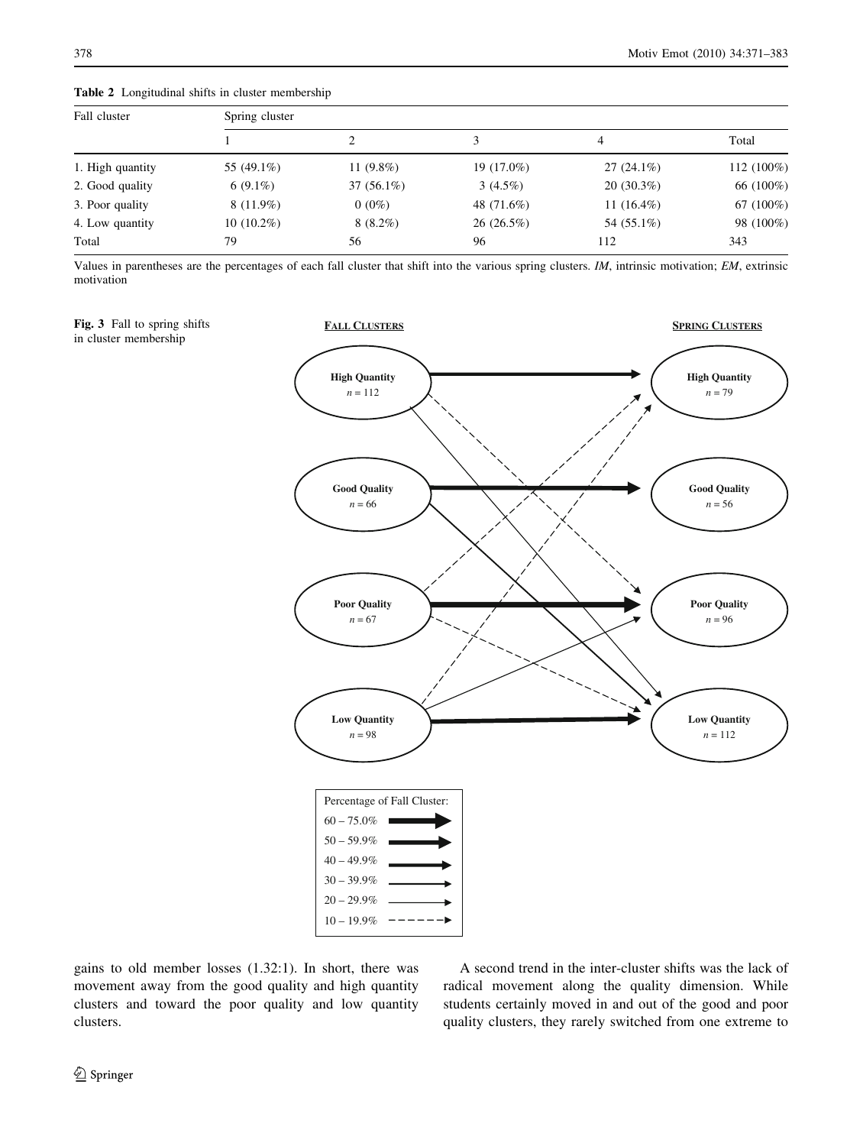<span id="page-7-0"></span>Table 2 Longitudinal shifts in cluster membership

| Fall cluster     | Spring cluster |              |            |               |               |  |  |  |
|------------------|----------------|--------------|------------|---------------|---------------|--|--|--|
|                  |                |              |            | 4             | Total         |  |  |  |
| 1. High quantity | 55 (49.1%)     | 11 $(9.8\%)$ | 19 (17.0%) | $27(24.1\%)$  | 112 $(100\%)$ |  |  |  |
| 2. Good quality  | 6 $(9.1\%)$    | $37(56.1\%)$ | $3(4.5\%)$ | $20(30.3\%)$  | 66 (100%)     |  |  |  |
| 3. Poor quality  | $8(11.9\%)$    | $0(0\%)$     | 48 (71.6%) | 11 $(16.4\%)$ | 67 $(100\%)$  |  |  |  |
| 4. Low quantity  | $10(10.2\%)$   | $8(8.2\%)$   | 26(26.5%)  | 54 (55.1%)    | 98 (100%)     |  |  |  |
| Total            | 79             | 56           | 96         | 112           | 343           |  |  |  |

Values in parentheses are the percentages of each fall cluster that shift into the various spring clusters. IM, intrinsic motivation; EM, extrinsic motivation

Fig. 3 Fall to spring shifts in cluster membership



gains to old member losses (1.32:1). In short, there was movement away from the good quality and high quantity clusters and toward the poor quality and low quantity clusters.

A second trend in the inter-cluster shifts was the lack of radical movement along the quality dimension. While students certainly moved in and out of the good and poor quality clusters, they rarely switched from one extreme to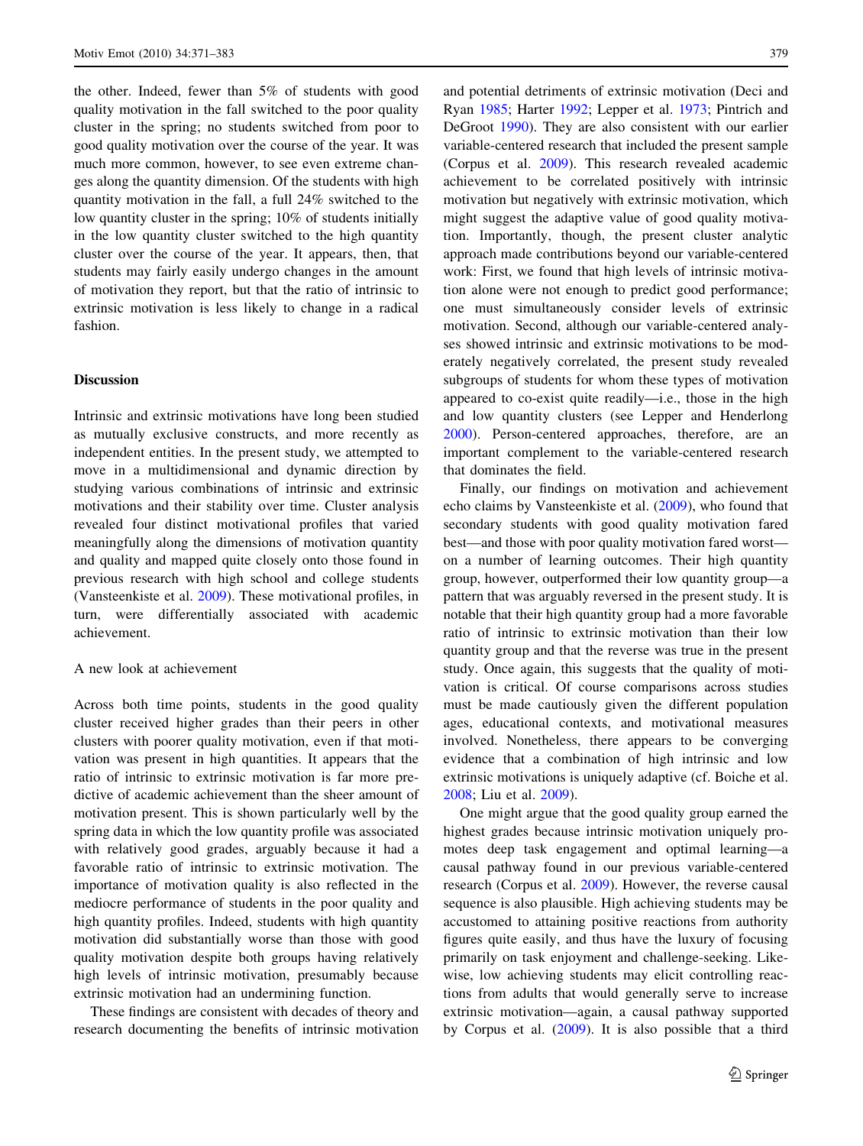the other. Indeed, fewer than 5% of students with good quality motivation in the fall switched to the poor quality cluster in the spring; no students switched from poor to good quality motivation over the course of the year. It was much more common, however, to see even extreme changes along the quantity dimension. Of the students with high quantity motivation in the fall, a full 24% switched to the low quantity cluster in the spring; 10% of students initially in the low quantity cluster switched to the high quantity cluster over the course of the year. It appears, then, that students may fairly easily undergo changes in the amount of motivation they report, but that the ratio of intrinsic to extrinsic motivation is less likely to change in a radical fashion.

# Discussion

Intrinsic and extrinsic motivations have long been studied as mutually exclusive constructs, and more recently as independent entities. In the present study, we attempted to move in a multidimensional and dynamic direction by studying various combinations of intrinsic and extrinsic motivations and their stability over time. Cluster analysis revealed four distinct motivational profiles that varied meaningfully along the dimensions of motivation quantity and quality and mapped quite closely onto those found in previous research with high school and college students (Vansteenkiste et al. [2009](#page-12-0)). These motivational profiles, in turn, were differentially associated with academic achievement.

## A new look at achievement

Across both time points, students in the good quality cluster received higher grades than their peers in other clusters with poorer quality motivation, even if that motivation was present in high quantities. It appears that the ratio of intrinsic to extrinsic motivation is far more predictive of academic achievement than the sheer amount of motivation present. This is shown particularly well by the spring data in which the low quantity profile was associated with relatively good grades, arguably because it had a favorable ratio of intrinsic to extrinsic motivation. The importance of motivation quality is also reflected in the mediocre performance of students in the poor quality and high quantity profiles. Indeed, students with high quantity motivation did substantially worse than those with good quality motivation despite both groups having relatively high levels of intrinsic motivation, presumably because extrinsic motivation had an undermining function.

These findings are consistent with decades of theory and research documenting the benefits of intrinsic motivation

and potential detriments of extrinsic motivation (Deci and Ryan [1985;](#page-11-0) Harter [1992](#page-11-0); Lepper et al. [1973](#page-11-0); Pintrich and DeGroot [1990\)](#page-11-0). They are also consistent with our earlier variable-centered research that included the present sample (Corpus et al. [2009](#page-11-0)). This research revealed academic achievement to be correlated positively with intrinsic motivation but negatively with extrinsic motivation, which might suggest the adaptive value of good quality motivation. Importantly, though, the present cluster analytic approach made contributions beyond our variable-centered work: First, we found that high levels of intrinsic motivation alone were not enough to predict good performance; one must simultaneously consider levels of extrinsic motivation. Second, although our variable-centered analyses showed intrinsic and extrinsic motivations to be moderately negatively correlated, the present study revealed subgroups of students for whom these types of motivation appeared to co-exist quite readily—i.e., those in the high and low quantity clusters (see Lepper and Henderlong [2000](#page-11-0)). Person-centered approaches, therefore, are an important complement to the variable-centered research that dominates the field.

Finally, our findings on motivation and achievement echo claims by Vansteenkiste et al. ([2009\)](#page-12-0), who found that secondary students with good quality motivation fared best—and those with poor quality motivation fared worst on a number of learning outcomes. Their high quantity group, however, outperformed their low quantity group—a pattern that was arguably reversed in the present study. It is notable that their high quantity group had a more favorable ratio of intrinsic to extrinsic motivation than their low quantity group and that the reverse was true in the present study. Once again, this suggests that the quality of motivation is critical. Of course comparisons across studies must be made cautiously given the different population ages, educational contexts, and motivational measures involved. Nonetheless, there appears to be converging evidence that a combination of high intrinsic and low extrinsic motivations is uniquely adaptive (cf. Boiche et al. [2008](#page-10-0); Liu et al. [2009](#page-11-0)).

One might argue that the good quality group earned the highest grades because intrinsic motivation uniquely promotes deep task engagement and optimal learning—a causal pathway found in our previous variable-centered research (Corpus et al. [2009\)](#page-11-0). However, the reverse causal sequence is also plausible. High achieving students may be accustomed to attaining positive reactions from authority figures quite easily, and thus have the luxury of focusing primarily on task enjoyment and challenge-seeking. Likewise, low achieving students may elicit controlling reactions from adults that would generally serve to increase extrinsic motivation—again, a causal pathway supported by Corpus et al. ([2009\)](#page-11-0). It is also possible that a third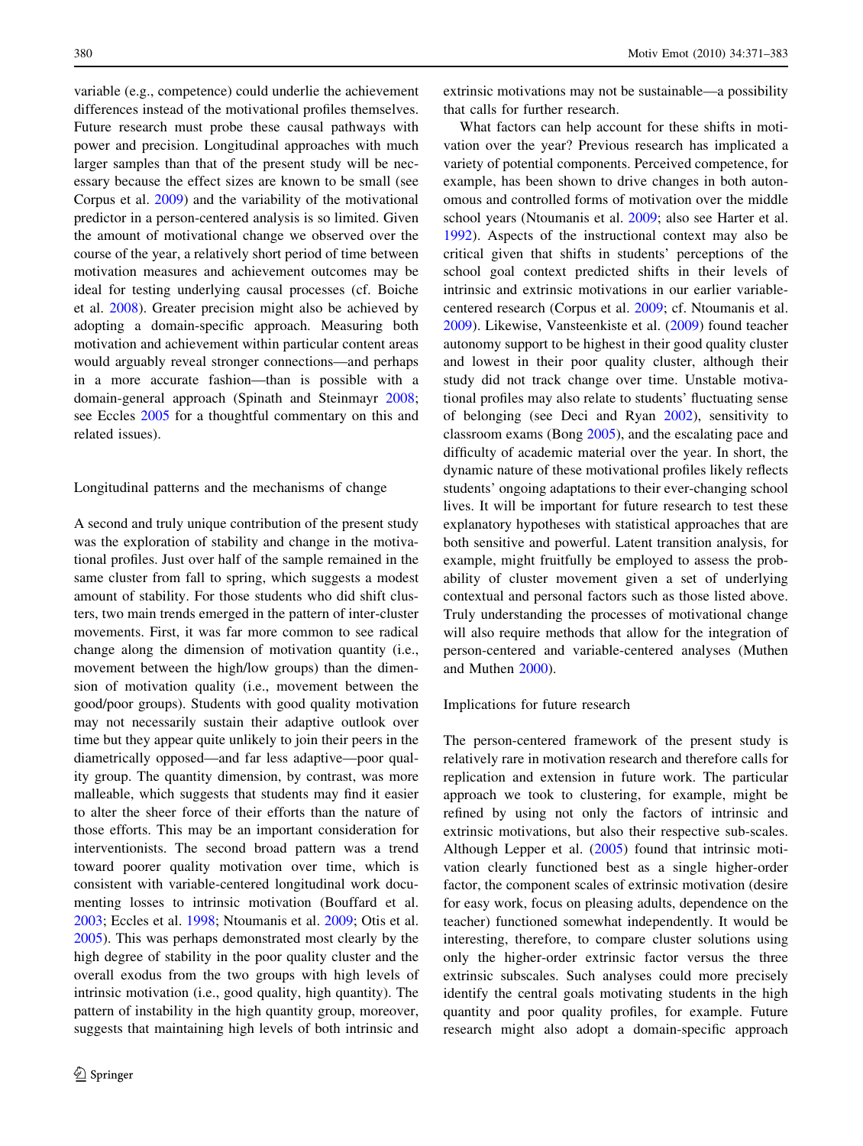variable (e.g., competence) could underlie the achievement differences instead of the motivational profiles themselves. Future research must probe these causal pathways with power and precision. Longitudinal approaches with much larger samples than that of the present study will be necessary because the effect sizes are known to be small (see Corpus et al. [2009\)](#page-11-0) and the variability of the motivational predictor in a person-centered analysis is so limited. Given the amount of motivational change we observed over the course of the year, a relatively short period of time between motivation measures and achievement outcomes may be ideal for testing underlying causal processes (cf. Boiche et al. [2008\)](#page-10-0). Greater precision might also be achieved by adopting a domain-specific approach. Measuring both motivation and achievement within particular content areas would arguably reveal stronger connections—and perhaps in a more accurate fashion—than is possible with a domain-general approach (Spinath and Steinmayr [2008](#page-12-0); see Eccles [2005](#page-11-0) for a thoughtful commentary on this and related issues).

## Longitudinal patterns and the mechanisms of change

A second and truly unique contribution of the present study was the exploration of stability and change in the motivational profiles. Just over half of the sample remained in the same cluster from fall to spring, which suggests a modest amount of stability. For those students who did shift clusters, two main trends emerged in the pattern of inter-cluster movements. First, it was far more common to see radical change along the dimension of motivation quantity (i.e., movement between the high/low groups) than the dimension of motivation quality (i.e., movement between the good/poor groups). Students with good quality motivation may not necessarily sustain their adaptive outlook over time but they appear quite unlikely to join their peers in the diametrically opposed—and far less adaptive—poor quality group. The quantity dimension, by contrast, was more malleable, which suggests that students may find it easier to alter the sheer force of their efforts than the nature of those efforts. This may be an important consideration for interventionists. The second broad pattern was a trend toward poorer quality motivation over time, which is consistent with variable-centered longitudinal work documenting losses to intrinsic motivation (Bouffard et al. [2003;](#page-10-0) Eccles et al. [1998;](#page-11-0) Ntoumanis et al. [2009;](#page-11-0) Otis et al. [2005\)](#page-11-0). This was perhaps demonstrated most clearly by the high degree of stability in the poor quality cluster and the overall exodus from the two groups with high levels of intrinsic motivation (i.e., good quality, high quantity). The pattern of instability in the high quantity group, moreover, suggests that maintaining high levels of both intrinsic and

extrinsic motivations may not be sustainable—a possibility that calls for further research.

What factors can help account for these shifts in motivation over the year? Previous research has implicated a variety of potential components. Perceived competence, for example, has been shown to drive changes in both autonomous and controlled forms of motivation over the middle school years (Ntoumanis et al. [2009;](#page-11-0) also see Harter et al. [1992](#page-11-0)). Aspects of the instructional context may also be critical given that shifts in students' perceptions of the school goal context predicted shifts in their levels of intrinsic and extrinsic motivations in our earlier variablecentered research (Corpus et al. [2009;](#page-11-0) cf. Ntoumanis et al. [2009](#page-11-0)). Likewise, Vansteenkiste et al. ([2009\)](#page-12-0) found teacher autonomy support to be highest in their good quality cluster and lowest in their poor quality cluster, although their study did not track change over time. Unstable motivational profiles may also relate to students' fluctuating sense of belonging (see Deci and Ryan [2002](#page-11-0)), sensitivity to classroom exams (Bong [2005](#page-10-0)), and the escalating pace and difficulty of academic material over the year. In short, the dynamic nature of these motivational profiles likely reflects students' ongoing adaptations to their ever-changing school lives. It will be important for future research to test these explanatory hypotheses with statistical approaches that are both sensitive and powerful. Latent transition analysis, for example, might fruitfully be employed to assess the probability of cluster movement given a set of underlying contextual and personal factors such as those listed above. Truly understanding the processes of motivational change will also require methods that allow for the integration of person-centered and variable-centered analyses (Muthen and Muthen [2000](#page-11-0)).

#### Implications for future research

The person-centered framework of the present study is relatively rare in motivation research and therefore calls for replication and extension in future work. The particular approach we took to clustering, for example, might be refined by using not only the factors of intrinsic and extrinsic motivations, but also their respective sub-scales. Although Lepper et al. [\(2005](#page-11-0)) found that intrinsic motivation clearly functioned best as a single higher-order factor, the component scales of extrinsic motivation (desire for easy work, focus on pleasing adults, dependence on the teacher) functioned somewhat independently. It would be interesting, therefore, to compare cluster solutions using only the higher-order extrinsic factor versus the three extrinsic subscales. Such analyses could more precisely identify the central goals motivating students in the high quantity and poor quality profiles, for example. Future research might also adopt a domain-specific approach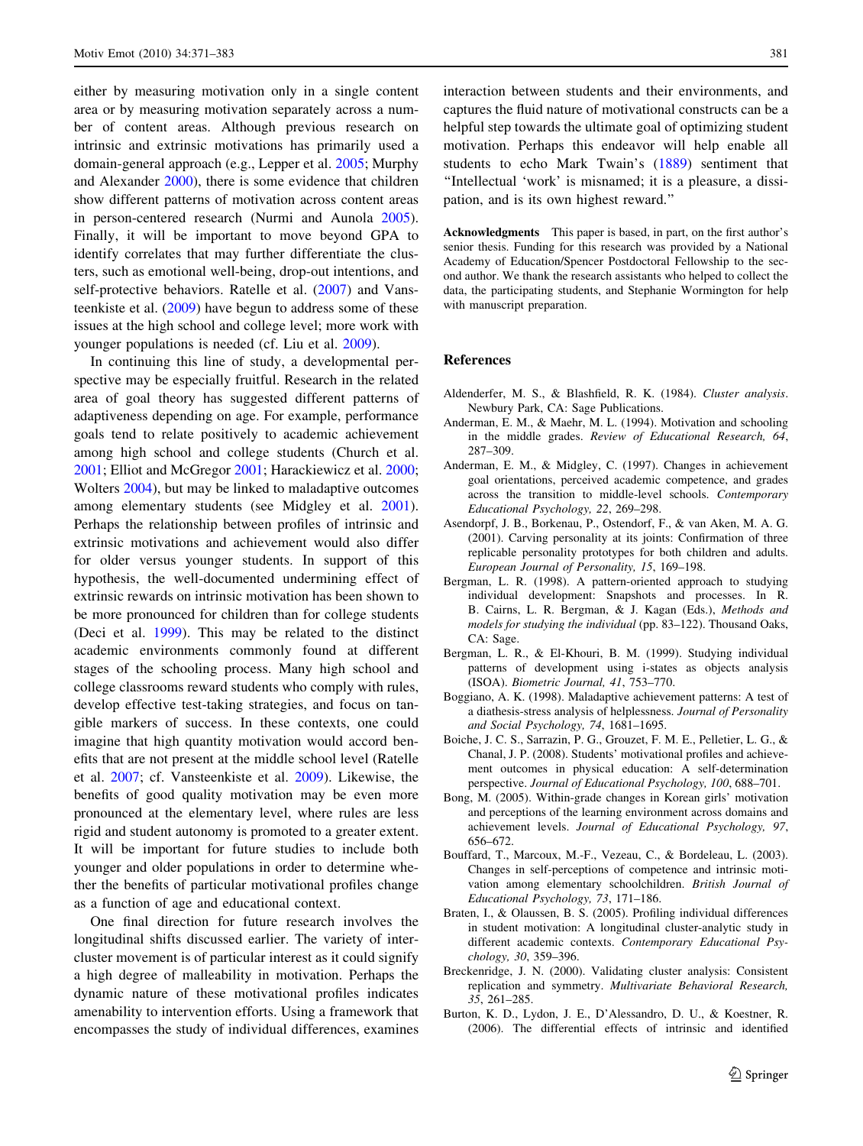<span id="page-10-0"></span>either by measuring motivation only in a single content area or by measuring motivation separately across a number of content areas. Although previous research on intrinsic and extrinsic motivations has primarily used a domain-general approach (e.g., Lepper et al. [2005;](#page-11-0) Murphy and Alexander [2000](#page-11-0)), there is some evidence that children show different patterns of motivation across content areas in person-centered research (Nurmi and Aunola [2005](#page-11-0)). Finally, it will be important to move beyond GPA to identify correlates that may further differentiate the clusters, such as emotional well-being, drop-out intentions, and self-protective behaviors. Ratelle et al. [\(2007](#page-11-0)) and Vansteenkiste et al. [\(2009](#page-12-0)) have begun to address some of these issues at the high school and college level; more work with younger populations is needed (cf. Liu et al. [2009\)](#page-11-0).

In continuing this line of study, a developmental perspective may be especially fruitful. Research in the related area of goal theory has suggested different patterns of adaptiveness depending on age. For example, performance goals tend to relate positively to academic achievement among high school and college students (Church et al. [2001;](#page-11-0) Elliot and McGregor [2001;](#page-11-0) Harackiewicz et al. [2000](#page-11-0); Wolters [2004](#page-12-0)), but may be linked to maladaptive outcomes among elementary students (see Midgley et al. [2001](#page-11-0)). Perhaps the relationship between profiles of intrinsic and extrinsic motivations and achievement would also differ for older versus younger students. In support of this hypothesis, the well-documented undermining effect of extrinsic rewards on intrinsic motivation has been shown to be more pronounced for children than for college students (Deci et al. [1999\)](#page-11-0). This may be related to the distinct academic environments commonly found at different stages of the schooling process. Many high school and college classrooms reward students who comply with rules, develop effective test-taking strategies, and focus on tangible markers of success. In these contexts, one could imagine that high quantity motivation would accord benefits that are not present at the middle school level (Ratelle et al. [2007](#page-11-0); cf. Vansteenkiste et al. [2009](#page-12-0)). Likewise, the benefits of good quality motivation may be even more pronounced at the elementary level, where rules are less rigid and student autonomy is promoted to a greater extent. It will be important for future studies to include both younger and older populations in order to determine whether the benefits of particular motivational profiles change as a function of age and educational context.

One final direction for future research involves the longitudinal shifts discussed earlier. The variety of intercluster movement is of particular interest as it could signify a high degree of malleability in motivation. Perhaps the dynamic nature of these motivational profiles indicates amenability to intervention efforts. Using a framework that encompasses the study of individual differences, examines interaction between students and their environments, and captures the fluid nature of motivational constructs can be a helpful step towards the ultimate goal of optimizing student motivation. Perhaps this endeavor will help enable all students to echo Mark Twain's [\(1889](#page-12-0)) sentiment that ''Intellectual 'work' is misnamed; it is a pleasure, a dissipation, and is its own highest reward.''

Acknowledgments This paper is based, in part, on the first author's senior thesis. Funding for this research was provided by a National Academy of Education/Spencer Postdoctoral Fellowship to the second author. We thank the research assistants who helped to collect the data, the participating students, and Stephanie Wormington for help with manuscript preparation.

#### References

- Aldenderfer, M. S., & Blashfield, R. K. (1984). Cluster analysis. Newbury Park, CA: Sage Publications.
- Anderman, E. M., & Maehr, M. L. (1994). Motivation and schooling in the middle grades. Review of Educational Research, 64, 287–309.
- Anderman, E. M., & Midgley, C. (1997). Changes in achievement goal orientations, perceived academic competence, and grades across the transition to middle-level schools. Contemporary Educational Psychology, 22, 269–298.
- Asendorpf, J. B., Borkenau, P., Ostendorf, F., & van Aken, M. A. G. (2001). Carving personality at its joints: Confirmation of three replicable personality prototypes for both children and adults. European Journal of Personality, 15, 169–198.
- Bergman, L. R. (1998). A pattern-oriented approach to studying individual development: Snapshots and processes. In R. B. Cairns, L. R. Bergman, & J. Kagan (Eds.), Methods and models for studying the individual (pp. 83–122). Thousand Oaks, CA: Sage.
- Bergman, L. R., & El-Khouri, B. M. (1999). Studying individual patterns of development using i-states as objects analysis (ISOA). Biometric Journal, 41, 753–770.
- Boggiano, A. K. (1998). Maladaptive achievement patterns: A test of a diathesis-stress analysis of helplessness. Journal of Personality and Social Psychology, 74, 1681–1695.
- Boiche, J. C. S., Sarrazin, P. G., Grouzet, F. M. E., Pelletier, L. G., & Chanal, J. P. (2008). Students' motivational profiles and achievement outcomes in physical education: A self-determination perspective. Journal of Educational Psychology, 100, 688–701.
- Bong, M. (2005). Within-grade changes in Korean girls' motivation and perceptions of the learning environment across domains and achievement levels. Journal of Educational Psychology, 97, 656–672.
- Bouffard, T., Marcoux, M.-F., Vezeau, C., & Bordeleau, L. (2003). Changes in self-perceptions of competence and intrinsic motivation among elementary schoolchildren. British Journal of Educational Psychology, 73, 171–186.
- Braten, I., & Olaussen, B. S. (2005). Profiling individual differences in student motivation: A longitudinal cluster-analytic study in different academic contexts. Contemporary Educational Psychology, 30, 359–396.
- Breckenridge, J. N. (2000). Validating cluster analysis: Consistent replication and symmetry. Multivariate Behavioral Research, 35, 261–285.
- Burton, K. D., Lydon, J. E., D'Alessandro, D. U., & Koestner, R. (2006). The differential effects of intrinsic and identified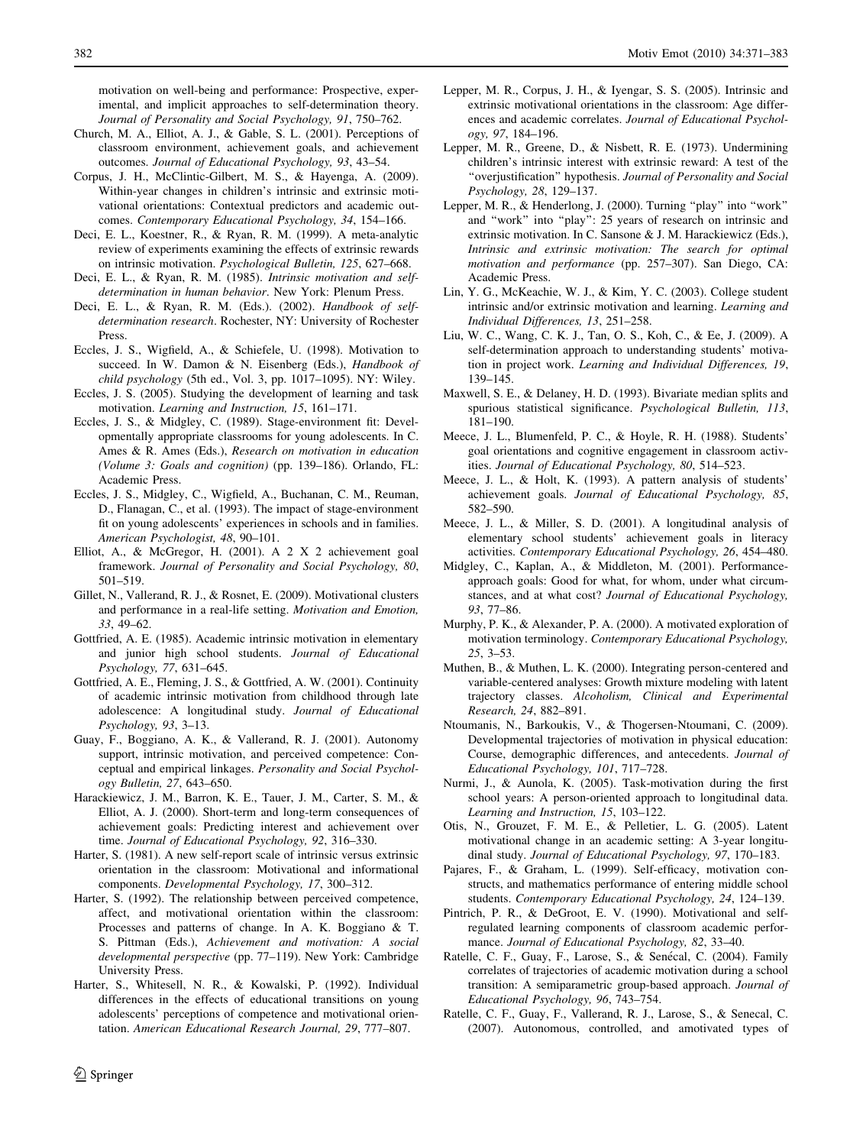<span id="page-11-0"></span>motivation on well-being and performance: Prospective, experimental, and implicit approaches to self-determination theory. Journal of Personality and Social Psychology, 91, 750–762.

- Church, M. A., Elliot, A. J., & Gable, S. L. (2001). Perceptions of classroom environment, achievement goals, and achievement outcomes. Journal of Educational Psychology, 93, 43–54.
- Corpus, J. H., McClintic-Gilbert, M. S., & Hayenga, A. (2009). Within-year changes in children's intrinsic and extrinsic motivational orientations: Contextual predictors and academic outcomes. Contemporary Educational Psychology, 34, 154–166.
- Deci, E. L., Koestner, R., & Ryan, R. M. (1999). A meta-analytic review of experiments examining the effects of extrinsic rewards on intrinsic motivation. Psychological Bulletin, 125, 627–668.
- Deci, E. L., & Ryan, R. M. (1985). Intrinsic motivation and selfdetermination in human behavior. New York: Plenum Press.
- Deci, E. L., & Ryan, R. M. (Eds.). (2002). Handbook of selfdetermination research. Rochester, NY: University of Rochester Press.
- Eccles, J. S., Wigfield, A., & Schiefele, U. (1998). Motivation to succeed. In W. Damon & N. Eisenberg (Eds.), Handbook of child psychology (5th ed., Vol. 3, pp. 1017–1095). NY: Wiley.
- Eccles, J. S. (2005). Studying the development of learning and task motivation. Learning and Instruction, 15, 161–171.
- Eccles, J. S., & Midgley, C. (1989). Stage-environment fit: Developmentally appropriate classrooms for young adolescents. In C. Ames & R. Ames (Eds.), Research on motivation in education (Volume 3: Goals and cognition) (pp. 139–186). Orlando, FL: Academic Press.
- Eccles, J. S., Midgley, C., Wigfield, A., Buchanan, C. M., Reuman, D., Flanagan, C., et al. (1993). The impact of stage-environment fit on young adolescents' experiences in schools and in families. American Psychologist, 48, 90–101.
- Elliot, A., & McGregor, H. (2001). A 2 X 2 achievement goal framework. Journal of Personality and Social Psychology, 80, 501–519.
- Gillet, N., Vallerand, R. J., & Rosnet, E. (2009). Motivational clusters and performance in a real-life setting. Motivation and Emotion, 33, 49–62.
- Gottfried, A. E. (1985). Academic intrinsic motivation in elementary and junior high school students. Journal of Educational Psychology, 77, 631–645.
- Gottfried, A. E., Fleming, J. S., & Gottfried, A. W. (2001). Continuity of academic intrinsic motivation from childhood through late adolescence: A longitudinal study. Journal of Educational Psychology, 93, 3–13.
- Guay, F., Boggiano, A. K., & Vallerand, R. J. (2001). Autonomy support, intrinsic motivation, and perceived competence: Conceptual and empirical linkages. Personality and Social Psychology Bulletin, 27, 643–650.
- Harackiewicz, J. M., Barron, K. E., Tauer, J. M., Carter, S. M., & Elliot, A. J. (2000). Short-term and long-term consequences of achievement goals: Predicting interest and achievement over time. Journal of Educational Psychology, 92, 316–330.
- Harter, S. (1981). A new self-report scale of intrinsic versus extrinsic orientation in the classroom: Motivational and informational components. Developmental Psychology, 17, 300–312.
- Harter, S. (1992). The relationship between perceived competence, affect, and motivational orientation within the classroom: Processes and patterns of change. In A. K. Boggiano & T. S. Pittman (Eds.), Achievement and motivation: A social developmental perspective (pp. 77–119). New York: Cambridge University Press.
- Harter, S., Whitesell, N. R., & Kowalski, P. (1992). Individual differences in the effects of educational transitions on young adolescents' perceptions of competence and motivational orientation. American Educational Research Journal, 29, 777–807.
- Lepper, M. R., Corpus, J. H., & Iyengar, S. S. (2005). Intrinsic and extrinsic motivational orientations in the classroom: Age differences and academic correlates. Journal of Educational Psychology, 97, 184–196.
- Lepper, M. R., Greene, D., & Nisbett, R. E. (1973). Undermining children's intrinsic interest with extrinsic reward: A test of the ''overjustification'' hypothesis. Journal of Personality and Social Psychology, 28, 129–137.
- Lepper, M. R., & Henderlong, J. (2000). Turning ''play'' into ''work'' and "work" into "play": 25 years of research on intrinsic and extrinsic motivation. In C. Sansone & J. M. Harackiewicz (Eds.), Intrinsic and extrinsic motivation: The search for optimal motivation and performance (pp. 257–307). San Diego, CA: Academic Press.
- Lin, Y. G., McKeachie, W. J., & Kim, Y. C. (2003). College student intrinsic and/or extrinsic motivation and learning. Learning and Individual Differences, 13, 251–258.
- Liu, W. C., Wang, C. K. J., Tan, O. S., Koh, C., & Ee, J. (2009). A self-determination approach to understanding students' motivation in project work. Learning and Individual Differences, 19, 139–145.
- Maxwell, S. E., & Delaney, H. D. (1993). Bivariate median splits and spurious statistical significance. Psychological Bulletin, 113, 181–190.
- Meece, J. L., Blumenfeld, P. C., & Hoyle, R. H. (1988). Students' goal orientations and cognitive engagement in classroom activities. Journal of Educational Psychology, 80, 514–523.
- Meece, J. L., & Holt, K. (1993). A pattern analysis of students' achievement goals. Journal of Educational Psychology, 85, 582–590.
- Meece, J. L., & Miller, S. D. (2001). A longitudinal analysis of elementary school students' achievement goals in literacy activities. Contemporary Educational Psychology, 26, 454–480.
- Midgley, C., Kaplan, A., & Middleton, M. (2001). Performanceapproach goals: Good for what, for whom, under what circumstances, and at what cost? Journal of Educational Psychology, 93, 77–86.
- Murphy, P. K., & Alexander, P. A. (2000). A motivated exploration of motivation terminology. Contemporary Educational Psychology, 25, 3–53.
- Muthen, B., & Muthen, L. K. (2000). Integrating person-centered and variable-centered analyses: Growth mixture modeling with latent trajectory classes. Alcoholism, Clinical and Experimental Research, 24, 882–891.
- Ntoumanis, N., Barkoukis, V., & Thogersen-Ntoumani, C. (2009). Developmental trajectories of motivation in physical education: Course, demographic differences, and antecedents. Journal of Educational Psychology, 101, 717–728.
- Nurmi, J., & Aunola, K. (2005). Task-motivation during the first school years: A person-oriented approach to longitudinal data. Learning and Instruction, 15, 103–122.
- Otis, N., Grouzet, F. M. E., & Pelletier, L. G. (2005). Latent motivational change in an academic setting: A 3-year longitudinal study. Journal of Educational Psychology, 97, 170–183.
- Pajares, F., & Graham, L. (1999). Self-efficacy, motivation constructs, and mathematics performance of entering middle school students. Contemporary Educational Psychology, 24, 124–139.
- Pintrich, P. R., & DeGroot, E. V. (1990). Motivational and selfregulated learning components of classroom academic performance. Journal of Educational Psychology, 82, 33–40.
- Ratelle, C. F., Guay, F., Larose, S., & Senécal, C. (2004). Family correlates of trajectories of academic motivation during a school transition: A semiparametric group-based approach. Journal of Educational Psychology, 96, 743–754.
- Ratelle, C. F., Guay, F., Vallerand, R. J., Larose, S., & Senecal, C. (2007). Autonomous, controlled, and amotivated types of